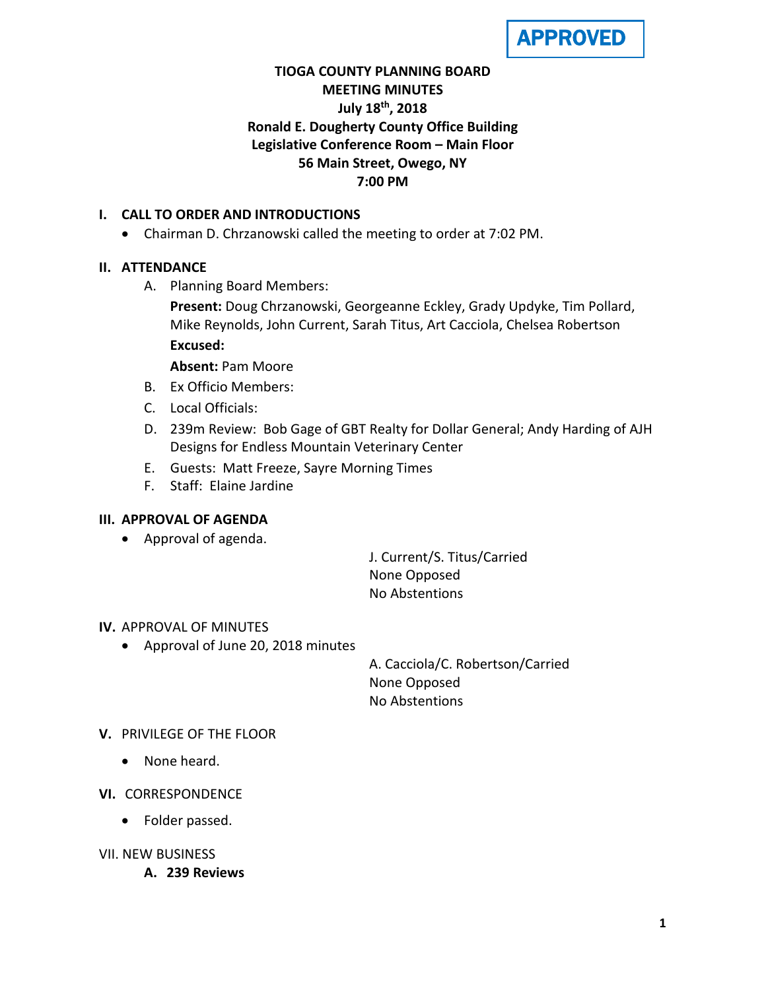

# **TIOGA COUNTY PLANNING BOARD MEETING MINUTES July 18th, 2018 Ronald E. Dougherty County Office Building Legislative Conference Room – Main Floor 56 Main Street, Owego, NY 7:00 PM**

### **I. CALL TO ORDER AND INTRODUCTIONS**

• Chairman D. Chrzanowski called the meeting to order at 7:02 PM.

## **II. ATTENDANCE**

A. Planning Board Members:

**Present:** Doug Chrzanowski, Georgeanne Eckley, Grady Updyke, Tim Pollard, Mike Reynolds, John Current, Sarah Titus, Art Cacciola, Chelsea Robertson **Excused:**

**Absent:** Pam Moore

- B. Ex Officio Members:
- C. Local Officials:
- D. 239m Review: Bob Gage of GBT Realty for Dollar General; Andy Harding of AJH Designs for Endless Mountain Veterinary Center
- E. Guests: Matt Freeze, Sayre Morning Times
- F. Staff: Elaine Jardine

#### **III. APPROVAL OF AGENDA**

• Approval of agenda.

J. Current/S. Titus/Carried None Opposed No Abstentions

#### **IV.** APPROVAL OF MINUTES

• Approval of June 20, 2018 minutes

A. Cacciola/C. Robertson/Carried None Opposed No Abstentions

#### **V.** PRIVILEGE OF THE FLOOR

- None heard.
- **VI.** CORRESPONDENCE
	- Folder passed.
- VII. NEW BUSINESS
	- **A. 239 Reviews**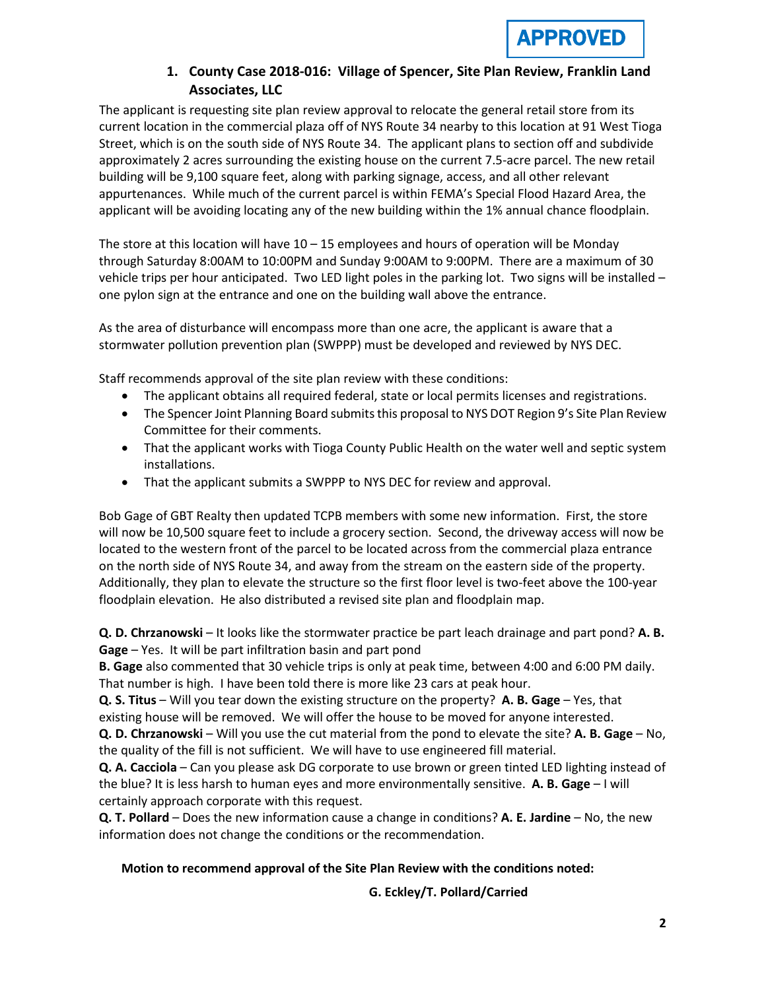## **1. County Case 2018-016: Village of Spencer, Site Plan Review, Franklin Land Associates, LLC**

The applicant is requesting site plan review approval to relocate the general retail store from its current location in the commercial plaza off of NYS Route 34 nearby to this location at 91 West Tioga Street, which is on the south side of NYS Route 34. The applicant plans to section off and subdivide approximately 2 acres surrounding the existing house on the current 7.5-acre parcel. The new retail building will be 9,100 square feet, along with parking signage, access, and all other relevant appurtenances. While much of the current parcel is within FEMA's Special Flood Hazard Area, the applicant will be avoiding locating any of the new building within the 1% annual chance floodplain.

The store at this location will have 10 – 15 employees and hours of operation will be Monday through Saturday 8:00AM to 10:00PM and Sunday 9:00AM to 9:00PM. There are a maximum of 30 vehicle trips per hour anticipated. Two LED light poles in the parking lot. Two signs will be installed – one pylon sign at the entrance and one on the building wall above the entrance.

As the area of disturbance will encompass more than one acre, the applicant is aware that a stormwater pollution prevention plan (SWPPP) must be developed and reviewed by NYS DEC.

Staff recommends approval of the site plan review with these conditions:

- The applicant obtains all required federal, state or local permits licenses and registrations.
- The Spencer Joint Planning Board submits this proposal to NYS DOT Region 9's Site Plan Review Committee for their comments.
- That the applicant works with Tioga County Public Health on the water well and septic system installations.
- That the applicant submits a SWPPP to NYS DEC for review and approval.

Bob Gage of GBT Realty then updated TCPB members with some new information. First, the store will now be 10,500 square feet to include a grocery section. Second, the driveway access will now be located to the western front of the parcel to be located across from the commercial plaza entrance on the north side of NYS Route 34, and away from the stream on the eastern side of the property. Additionally, they plan to elevate the structure so the first floor level is two-feet above the 100-year floodplain elevation. He also distributed a revised site plan and floodplain map.

**Q. D. Chrzanowski** – It looks like the stormwater practice be part leach drainage and part pond? **A. B. Gage** – Yes. It will be part infiltration basin and part pond

**B. Gage** also commented that 30 vehicle trips is only at peak time, between 4:00 and 6:00 PM daily. That number is high. I have been told there is more like 23 cars at peak hour.

**Q. S. Titus** – Will you tear down the existing structure on the property? **A. B. Gage** – Yes, that existing house will be removed. We will offer the house to be moved for anyone interested.

**Q. D. Chrzanowski** – Will you use the cut material from the pond to elevate the site? **A. B. Gage** – No, the quality of the fill is not sufficient. We will have to use engineered fill material.

**Q. A. Cacciola** – Can you please ask DG corporate to use brown or green tinted LED lighting instead of the blue? It is less harsh to human eyes and more environmentally sensitive. **A. B. Gage** – I will certainly approach corporate with this request.

**Q. T. Pollard** – Does the new information cause a change in conditions? **A. E. Jardine** – No, the new information does not change the conditions or the recommendation.

## **Motion to recommend approval of the Site Plan Review with the conditions noted:**

#### **G. Eckley/T. Pollard/Carried**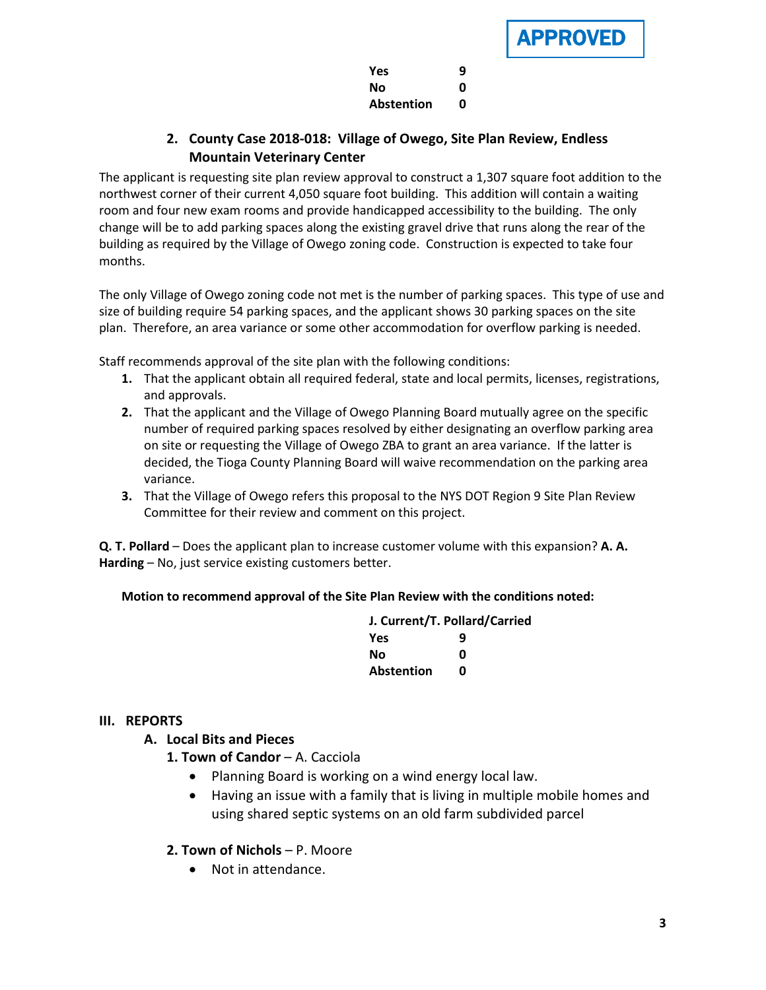APPROVED

| <b>Yes</b>        | 9 |
|-------------------|---|
| Nο                | Ω |
| <b>Abstention</b> | 0 |

# **2. County Case 2018-018: Village of Owego, Site Plan Review, Endless Mountain Veterinary Center**

The applicant is requesting site plan review approval to construct a 1,307 square foot addition to the northwest corner of their current 4,050 square foot building. This addition will contain a waiting room and four new exam rooms and provide handicapped accessibility to the building. The only change will be to add parking spaces along the existing gravel drive that runs along the rear of the building as required by the Village of Owego zoning code. Construction is expected to take four months.

The only Village of Owego zoning code not met is the number of parking spaces. This type of use and size of building require 54 parking spaces, and the applicant shows 30 parking spaces on the site plan. Therefore, an area variance or some other accommodation for overflow parking is needed.

Staff recommends approval of the site plan with the following conditions:

- **1.** That the applicant obtain all required federal, state and local permits, licenses, registrations, and approvals.
- **2.** That the applicant and the Village of Owego Planning Board mutually agree on the specific number of required parking spaces resolved by either designating an overflow parking area on site or requesting the Village of Owego ZBA to grant an area variance. If the latter is decided, the Tioga County Planning Board will waive recommendation on the parking area variance.
- **3.** That the Village of Owego refers this proposal to the NYS DOT Region 9 Site Plan Review Committee for their review and comment on this project.

**Q. T. Pollard** – Does the applicant plan to increase customer volume with this expansion? **A. A. Harding** – No, just service existing customers better.

## **Motion to recommend approval of the Site Plan Review with the conditions noted:**

|                   | J. Current/T. Pollard/Carried |  |
|-------------------|-------------------------------|--|
| <b>Yes</b>        | q                             |  |
| No                | n                             |  |
| <b>Abstention</b> | n                             |  |

#### **III. REPORTS**

- **A. Local Bits and Pieces**
	- 1. Town of Candor A. Cacciola
		- Planning Board is working on a wind energy local law.
		- Having an issue with a family that is living in multiple mobile homes and using shared septic systems on an old farm subdivided parcel

#### **2. Town of Nichols** – P. Moore

• Not in attendance.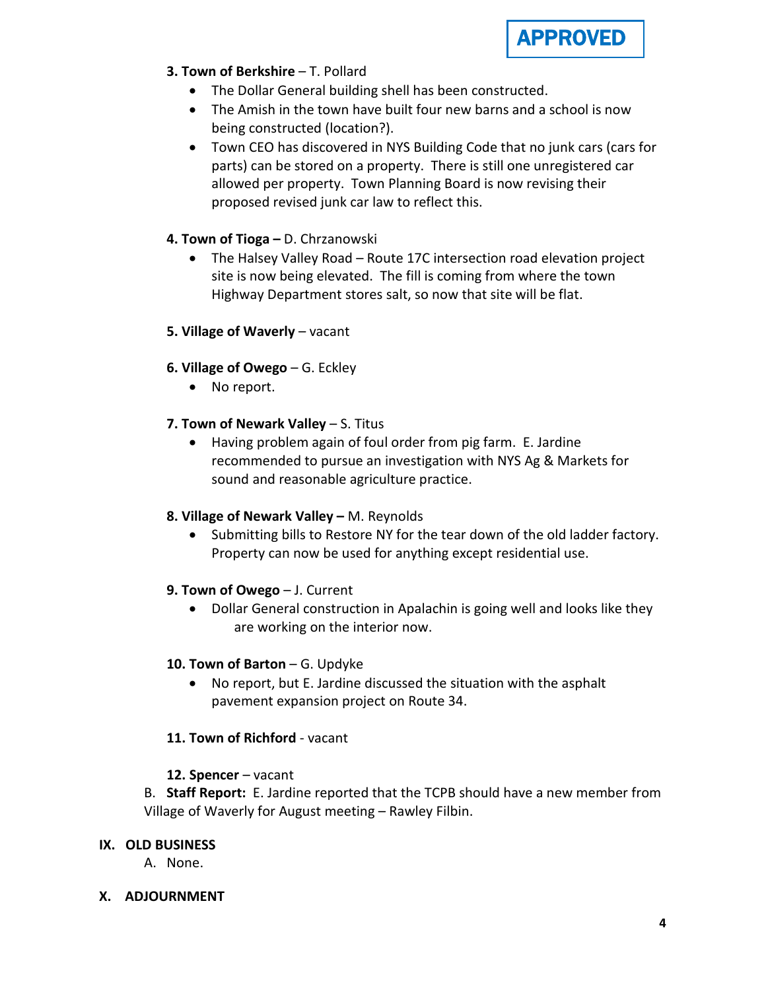

# **3. Town of Berkshire** - T. Pollard

- The Dollar General building shell has been constructed.
- The Amish in the town have built four new barns and a school is now being constructed (location?).
- Town CEO has discovered in NYS Building Code that no junk cars (cars for parts) can be stored on a property. There is still one unregistered car allowed per property. Town Planning Board is now revising their proposed revised junk car law to reflect this.

## **4. Town of Tioga –** D. Chrzanowski

• The Halsey Valley Road – Route 17C intersection road elevation project site is now being elevated. The fill is coming from where the town Highway Department stores salt, so now that site will be flat.

## **5. Village of Waverly** – vacant

- **6. Village of Owego** G. Eckley
	- No report.
- **7. Town of Newark Valley** S. Titus
	- Having problem again of foul order from pig farm. E. Jardine recommended to pursue an investigation with NYS Ag & Markets for sound and reasonable agriculture practice.
- **8. Village of Newark Valley –** M. Reynolds
	- Submitting bills to Restore NY for the tear down of the old ladder factory. Property can now be used for anything except residential use.

## **9. Town of Owego** – J. Current

• Dollar General construction in Apalachin is going well and looks like they are working on the interior now.

## **10. Town of Barton** – G. Updyke

• No report, but E. Jardine discussed the situation with the asphalt pavement expansion project on Route 34.

## **11. Town of Richford** - vacant

## **12. Spencer** – vacant

B. **Staff Report:** E. Jardine reported that the TCPB should have a new member from Village of Waverly for August meeting – Rawley Filbin.

## **IX. OLD BUSINESS**

A. None.

## **X. ADJOURNMENT**